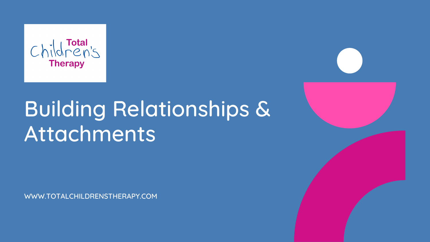

# Building Relationships & Attachments

WWW.TOTALCHILDRENSTHERAPY.COM

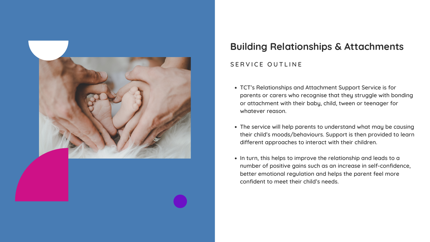TCT's Relationships and Attachment Support Service is for parents or carers who recognise that they struggle with bonding or attachment with their baby, child, tween or teenager for

- whatever reason.
- 
- 

The service will help parents to understand what may be causing their child's moods/behaviours. Support is then provided to learn different approaches to interact with their children.

• In turn, this helps to improve the relationship and leads to a number of positive gains such as an increase in self-confidence, better emotional regulation and helps the parent feel more confident to meet their child's needs.



## **Building Relationships & Attachments**

#### SERVICE OUTLINE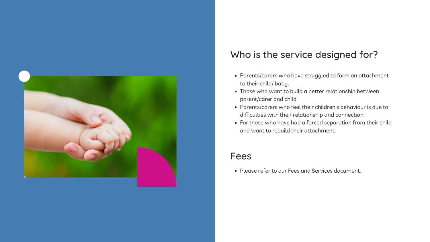- Parents/carers who have struggled to form an attachment to their child/ baby.
- Those who want to build a better relationship between parent/carer and child.
- 
- For those who have had a forced separation from their child and want to rebuild their attachment.

Parents/carers who feel their children's behaviour is due to difficulties with their relationship and connection.



### Who is the service designed for?

#### Fees

Please refer to our Fees and Services document.